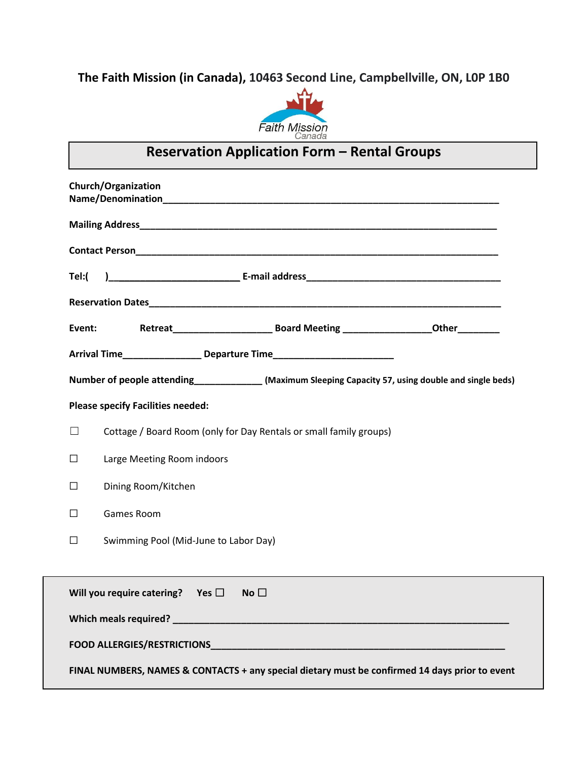### **The Faith Mission (in Canada), 10463 Second Line, Campbellville, ON, L0P 1B0**



# **Reservation Application Form – Rental Groups**

| Church/Organization                                                                                                                                                                                                            |                                                                    |  |  |  |  |  |
|--------------------------------------------------------------------------------------------------------------------------------------------------------------------------------------------------------------------------------|--------------------------------------------------------------------|--|--|--|--|--|
|                                                                                                                                                                                                                                |                                                                    |  |  |  |  |  |
|                                                                                                                                                                                                                                |                                                                    |  |  |  |  |  |
| Tel:(                                                                                                                                                                                                                          |                                                                    |  |  |  |  |  |
|                                                                                                                                                                                                                                |                                                                    |  |  |  |  |  |
| Event:                                                                                                                                                                                                                         |                                                                    |  |  |  |  |  |
| Arrival Time__________________ Departure Time___________________________________                                                                                                                                               |                                                                    |  |  |  |  |  |
| Number of people attending______________(Maximum Sleeping Capacity 57, using double and single beds)                                                                                                                           |                                                                    |  |  |  |  |  |
| <b>Please specify Facilities needed:</b>                                                                                                                                                                                       |                                                                    |  |  |  |  |  |
| П                                                                                                                                                                                                                              | Cottage / Board Room (only for Day Rentals or small family groups) |  |  |  |  |  |
| Large Meeting Room indoors<br>□                                                                                                                                                                                                |                                                                    |  |  |  |  |  |
| Dining Room/Kitchen<br>□                                                                                                                                                                                                       |                                                                    |  |  |  |  |  |
| Games Room<br>□                                                                                                                                                                                                                |                                                                    |  |  |  |  |  |
| □                                                                                                                                                                                                                              | Swimming Pool (Mid-June to Labor Day)                              |  |  |  |  |  |
|                                                                                                                                                                                                                                |                                                                    |  |  |  |  |  |
| Will you require catering? Yes $\square$<br>No                                                                                                                                                                                 |                                                                    |  |  |  |  |  |
|                                                                                                                                                                                                                                |                                                                    |  |  |  |  |  |
| FOOD ALLERGIES/RESTRICTIONS And the contract of the contract of the contract of the contract of the contract of the contract of the contract of the contract of the contract of the contract of the contract of the contract o |                                                                    |  |  |  |  |  |
| FINAL NUMBERS, NAMES & CONTACTS + any special dietary must be confirmed 14 days prior to event                                                                                                                                 |                                                                    |  |  |  |  |  |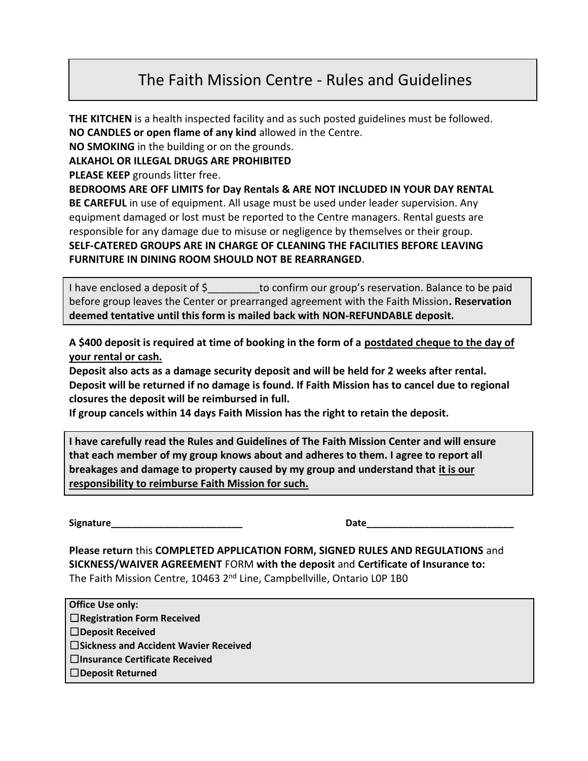### The Faith Mission Centre - Rules and Guidelines

**THE KITCHEN** is a health inspected facility and as such posted guidelines must be followed. **NO CANDLES or open flame of any kind** allowed in the Centre.

**NO SMOKING** in the building or on the grounds.

**ALKAHOL OR ILLEGAL DRUGS ARE PROHIBITED**

**PLEASE KEEP** grounds litter free.

**BEDROOMS ARE OFF LIMITS for Day Rentals & ARE NOT INCLUDED IN YOUR DAY RENTAL BE CAREFUL** in use of equipment. All usage must be used under leader supervision. Any equipment damaged or lost must be reported to the Centre managers. Rental guests are responsible for any damage due to misuse or negligence by themselves or their group. **SELF-CATERED GROUPS ARE IN CHARGE OF CLEANING THE FACILITIES BEFORE LEAVING FURNITURE IN DINING ROOM SHOULD NOT BE REARRANGED**.

I have enclosed a deposit of \$\_\_\_\_\_\_\_\_to confirm our group's reservation. Balance to be paid before group leaves the Center or prearranged agreement with the Faith Mission**. Reservation deemed tentative until this form is mailed back with NON-REFUNDABLE deposit.**

**A \$400 deposit is required at time of booking in the form of a postdated cheque to the day of your rental or cash.**

**Deposit also acts as a damage security deposit and will be held for 2 weeks after rental. Deposit will be returned if no damage is found. If Faith Mission has to cancel due to regional closures the deposit will be reimbursed in full.**

**If group cancels within 14 days Faith Mission has the right to retain the deposit.**

**I have carefully read the Rules and Guidelines of The Faith Mission Center and will ensure that each member of my group knows about and adheres to them. I agree to report all breakages and damage to property caused by my group and understand that it is our responsibility to reimburse Faith Mission for such.**

**Signature\_\_\_\_\_\_\_\_\_\_\_\_\_\_\_\_\_\_\_\_\_\_\_\_\_ Date\_\_\_\_\_\_\_\_\_\_\_\_\_\_\_\_\_\_\_\_\_\_\_\_\_\_\_\_**

**Please return** this **COMPLETED APPLICATION FORM, SIGNED RULES AND REGULATIONS** and **SICKNESS/WAIVER AGREEMENT** FORM **with the deposit** and **Certificate of Insurance to:**  The Faith Mission Centre, 10463 2<sup>nd</sup> Line, Campbellville, Ontario LOP 1B0

**Office Use only:** ☐**Registration Form Received**  ☐**Deposit Received**  ☐**Sickness and Accident Wavier Received**  ☐**Insurance Certificate Received**  ☐**Deposit Returned**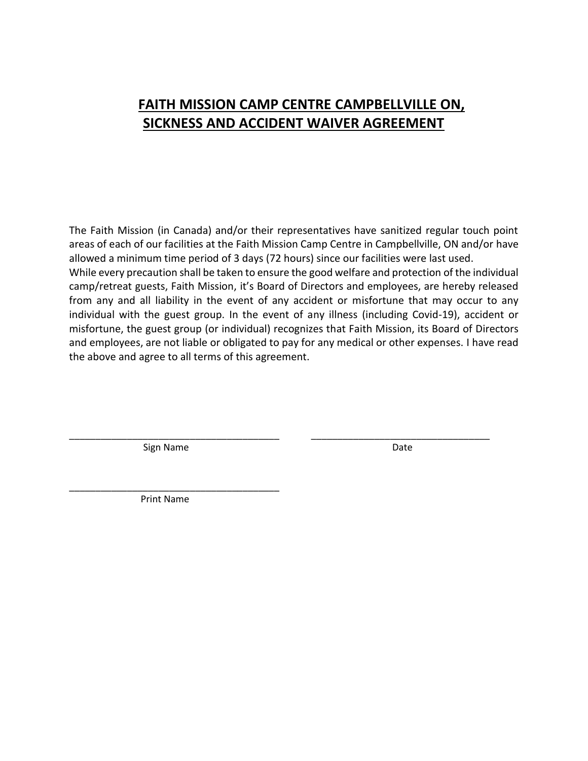#### **FAITH MISSION CAMP CENTRE CAMPBELLVILLE ON, SICKNESS AND ACCIDENT WAIVER AGREEMENT**

The Faith Mission (in Canada) and/or their representatives have sanitized regular touch point areas of each of our facilities at the Faith Mission Camp Centre in Campbellville, ON and/or have allowed a minimum time period of 3 days (72 hours) since our facilities were last used. While every precaution shall be taken to ensure the good welfare and protection of the individual camp/retreat guests, Faith Mission, it's Board of Directors and employees, are hereby released from any and all liability in the event of any accident or misfortune that may occur to any individual with the guest group. In the event of any illness (including Covid-19), accident or misfortune, the guest group (or individual) recognizes that Faith Mission, its Board of Directors and employees, are not liable or obligated to pay for any medical or other expenses. I have read the above and agree to all terms of this agreement.

\_\_\_\_\_\_\_\_\_\_\_\_\_\_\_\_\_\_\_\_\_\_\_\_\_\_\_\_\_\_\_\_\_\_\_\_\_\_\_\_ \_\_\_\_\_\_\_\_\_\_\_\_\_\_\_\_\_\_\_\_\_\_\_\_\_\_\_\_\_\_\_\_\_\_

Sign Name Date and the Date of the Date of the Date of the Date of the Date of the Date of the Date of the Date

\_\_\_\_\_\_\_\_\_\_\_\_\_\_\_\_\_\_\_\_\_\_\_\_\_\_\_\_\_\_\_\_\_\_\_\_\_\_\_\_ Print Name